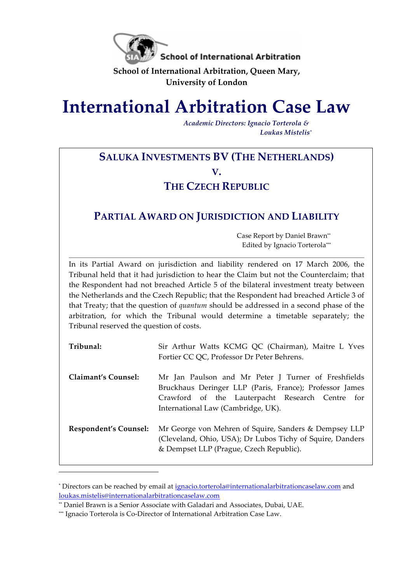

**School of International Arbitration, Queen Mary, University of London**

# **International Arbitration Case Law**

*Academic Directors: Ignacio Torterola & Loukas Mistelis\**

# **SALUKA INVESTMENTS BV (THE NETHERLANDS) V.**

### **THE CZECH REPUBLIC**

## **PARTIAL AWARD ON JURISDICTION AND LIABILITY**

Case Report by Daniel Brawn\*\* Edited by Ignacio Torterola\*\*\*

In its Partial Award on jurisdiction and liability rendered on 17 March 2006, the Tribunal held that it had jurisdiction to hear the Claim but not the Counterclaim; that the Respondent had not breached Article 5 of the bilateral investment treaty between the Netherlands and the Czech Republic; that the Respondent had breached Article 3 of that Treaty; that the question of *quantum* should be addressed in a second phase of the arbitration, for which the Tribunal would determine a timetable separately; the Tribunal reserved the question of costs.

| Tribunal:             | Sir Arthur Watts KCMG QC (Chairman), Maitre L Yves<br>Fortier CC QC, Professor Dr Peter Behrens.                                                                                                        |
|-----------------------|---------------------------------------------------------------------------------------------------------------------------------------------------------------------------------------------------------|
| Claimant's Counsel:   | Mr Jan Paulson and Mr Peter J Turner of Freshfields<br>Bruckhaus Deringer LLP (Paris, France); Professor James<br>Crawford of the Lauterpacht Research Centre for<br>International Law (Cambridge, UK). |
| Respondent's Counsel: | Mr George von Mehren of Squire, Sanders & Dempsey LLP<br>(Cleveland, Ohio, USA); Dr Lubos Tichy of Squire, Danders<br>& Dempset LLP (Prague, Czech Republic).                                           |

<sup>\*</sup> Directors can be reached by email at ignacio.torterola@internationalarbitrationcaselaw.com and loukas.mistelis@internationalarbitrationcaselaw.com

i<br>Li

<sup>\*\*</sup> Daniel Brawn is a Senior Associate with Galadari and Associates, Dubai, UAE.

<sup>\*\*\*</sup> Ignacio Torterola is Co-Director of International Arbitration Case Law.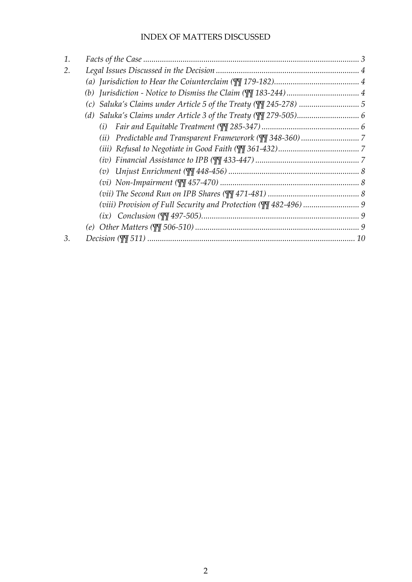#### INDEX OF MATTERS DISCUSSED

| 1. |     |  |
|----|-----|--|
| 2. |     |  |
|    |     |  |
|    |     |  |
|    |     |  |
|    |     |  |
|    | (i) |  |
|    |     |  |
|    |     |  |
|    |     |  |
|    |     |  |
|    |     |  |
|    |     |  |
|    |     |  |
|    |     |  |
|    |     |  |
| 3. |     |  |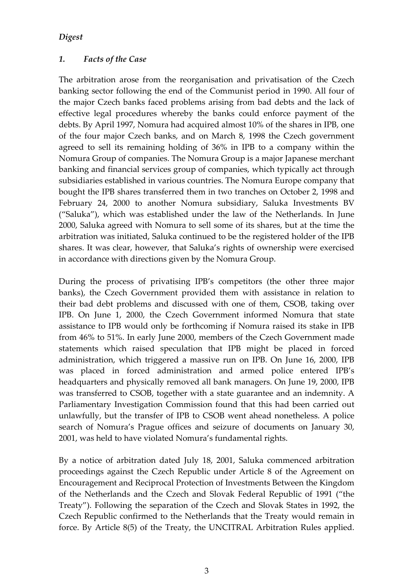#### *Digest*

#### *1. Facts of the Case*

The arbitration arose from the reorganisation and privatisation of the Czech banking sector following the end of the Communist period in 1990. All four of the major Czech banks faced problems arising from bad debts and the lack of effective legal procedures whereby the banks could enforce payment of the debts. By April 1997, Nomura had acquired almost 10% of the shares in IPB, one of the four major Czech banks, and on March 8, 1998 the Czech government agreed to sell its remaining holding of 36% in IPB to a company within the Nomura Group of companies. The Nomura Group is a major Japanese merchant banking and financial services group of companies, which typically act through subsidiaries established in various countries. The Nomura Europe company that bought the IPB shares transferred them in two tranches on October 2, 1998 and February 24, 2000 to another Nomura subsidiary, Saluka Investments BV ("Saluka"), which was established under the law of the Netherlands. In June 2000, Saluka agreed with Nomura to sell some of its shares, but at the time the arbitration was initiated, Saluka continued to be the registered holder of the IPB shares. It was clear, however, that Saluka's rights of ownership were exercised in accordance with directions given by the Nomura Group.

During the process of privatising IPB's competitors (the other three major banks), the Czech Government provided them with assistance in relation to their bad debt problems and discussed with one of them, CSOB, taking over IPB. On June 1, 2000, the Czech Government informed Nomura that state assistance to IPB would only be forthcoming if Nomura raised its stake in IPB from 46% to 51%. In early June 2000, members of the Czech Government made statements which raised speculation that IPB might be placed in forced administration, which triggered a massive run on IPB. On June 16, 2000, IPB was placed in forced administration and armed police entered IPB's headquarters and physically removed all bank managers. On June 19, 2000, IPB was transferred to CSOB, together with a state guarantee and an indemnity. A Parliamentary Investigation Commission found that this had been carried out unlawfully, but the transfer of IPB to CSOB went ahead nonetheless. A police search of Nomura's Prague offices and seizure of documents on January 30, 2001, was held to have violated Nomura's fundamental rights.

By a notice of arbitration dated July 18, 2001, Saluka commenced arbitration proceedings against the Czech Republic under Article 8 of the Agreement on Encouragement and Reciprocal Protection of Investments Between the Kingdom of the Netherlands and the Czech and Slovak Federal Republic of 1991 ("the Treaty"). Following the separation of the Czech and Slovak States in 1992, the Czech Republic confirmed to the Netherlands that the Treaty would remain in force. By Article 8(5) of the Treaty, the UNCITRAL Arbitration Rules applied.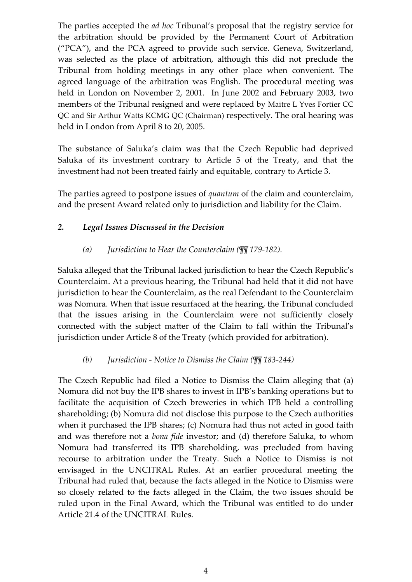The parties accepted the *ad hoc* Tribunal's proposal that the registry service for the arbitration should be provided by the Permanent Court of Arbitration ("PCA"), and the PCA agreed to provide such service. Geneva, Switzerland, was selected as the place of arbitration, although this did not preclude the Tribunal from holding meetings in any other place when convenient. The agreed language of the arbitration was English. The procedural meeting was held in London on November 2, 2001. In June 2002 and February 2003, two members of the Tribunal resigned and were replaced by Maitre L Yves Fortier CC QC and Sir Arthur Watts KCMG QC (Chairman) respectively. The oral hearing was held in London from April 8 to 20, 2005.

The substance of Saluka's claim was that the Czech Republic had deprived Saluka of its investment contrary to Article 5 of the Treaty, and that the investment had not been treated fairly and equitable, contrary to Article 3.

The parties agreed to postpone issues of *quantum* of the claim and counterclaim, and the present Award related only to jurisdiction and liability for the Claim.

#### *2. Legal Issues Discussed in the Decision*

#### *(a) Jurisdiction to Hear the Counterclaim (¶¶ 179-182).*

Saluka alleged that the Tribunal lacked jurisdiction to hear the Czech Republic's Counterclaim. At a previous hearing, the Tribunal had held that it did not have jurisdiction to hear the Counterclaim, as the real Defendant to the Counterclaim was Nomura. When that issue resurfaced at the hearing, the Tribunal concluded that the issues arising in the Counterclaim were not sufficiently closely connected with the subject matter of the Claim to fall within the Tribunal's jurisdiction under Article 8 of the Treaty (which provided for arbitration).

#### *(b) Jurisdiction - Notice to Dismiss the Claim (¶¶ 183-244)*

The Czech Republic had filed a Notice to Dismiss the Claim alleging that (a) Nomura did not buy the IPB shares to invest in IPB's banking operations but to facilitate the acquisition of Czech breweries in which IPB held a controlling shareholding; (b) Nomura did not disclose this purpose to the Czech authorities when it purchased the IPB shares; (c) Nomura had thus not acted in good faith and was therefore not a *bona fide* investor; and (d) therefore Saluka, to whom Nomura had transferred its IPB shareholding, was precluded from having recourse to arbitration under the Treaty. Such a Notice to Dismiss is not envisaged in the UNCITRAL Rules. At an earlier procedural meeting the Tribunal had ruled that, because the facts alleged in the Notice to Dismiss were so closely related to the facts alleged in the Claim, the two issues should be ruled upon in the Final Award, which the Tribunal was entitled to do under Article 21.4 of the UNCITRAL Rules.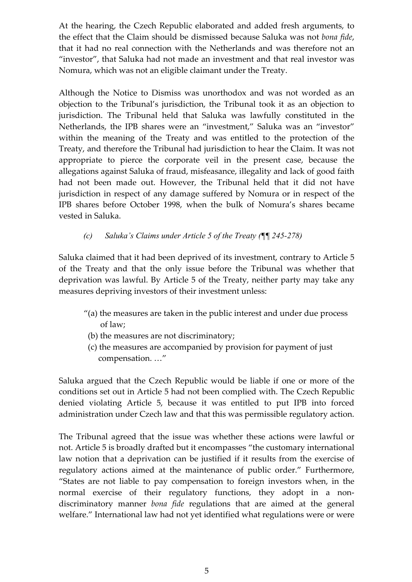At the hearing, the Czech Republic elaborated and added fresh arguments, to the effect that the Claim should be dismissed because Saluka was not *bona fide*, that it had no real connection with the Netherlands and was therefore not an "investor", that Saluka had not made an investment and that real investor was Nomura, which was not an eligible claimant under the Treaty.

Although the Notice to Dismiss was unorthodox and was not worded as an objection to the Tribunal's jurisdiction, the Tribunal took it as an objection to jurisdiction. The Tribunal held that Saluka was lawfully constituted in the Netherlands, the IPB shares were an "investment," Saluka was an "investor" within the meaning of the Treaty and was entitled to the protection of the Treaty, and therefore the Tribunal had jurisdiction to hear the Claim. It was not appropriate to pierce the corporate veil in the present case, because the allegations against Saluka of fraud, misfeasance, illegality and lack of good faith had not been made out. However, the Tribunal held that it did not have jurisdiction in respect of any damage suffered by Nomura or in respect of the IPB shares before October 1998, when the bulk of Nomura's shares became vested in Saluka.

#### *(c) Saluka's Claims under Article 5 of the Treaty (¶¶ 245-278)*

Saluka claimed that it had been deprived of its investment, contrary to Article 5 of the Treaty and that the only issue before the Tribunal was whether that deprivation was lawful. By Article 5 of the Treaty, neither party may take any measures depriving investors of their investment unless:

- "(a) the measures are taken in the public interest and under due process of law;
- (b) the measures are not discriminatory;
- (c) the measures are accompanied by provision for payment of just compensation. …"

Saluka argued that the Czech Republic would be liable if one or more of the conditions set out in Article 5 had not been complied with. The Czech Republic denied violating Article 5, because it was entitled to put IPB into forced administration under Czech law and that this was permissible regulatory action.

The Tribunal agreed that the issue was whether these actions were lawful or not. Article 5 is broadly drafted but it encompasses "the customary international law notion that a deprivation can be justified if it results from the exercise of regulatory actions aimed at the maintenance of public order." Furthermore, "States are not liable to pay compensation to foreign investors when, in the normal exercise of their regulatory functions, they adopt in a nondiscriminatory manner *bona fide* regulations that are aimed at the general welfare." International law had not yet identified what regulations were or were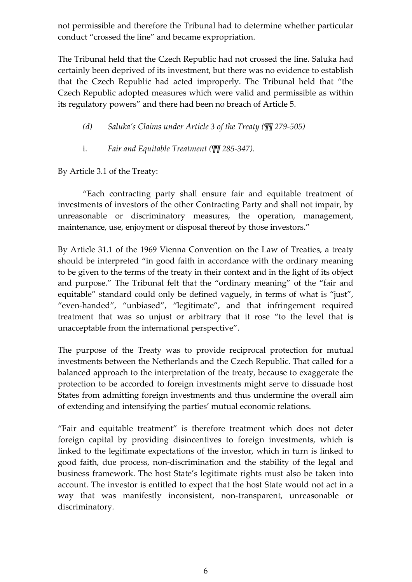not permissible and therefore the Tribunal had to determine whether particular conduct "crossed the line" and became expropriation.

The Tribunal held that the Czech Republic had not crossed the line. Saluka had certainly been deprived of its investment, but there was no evidence to establish that the Czech Republic had acted improperly. The Tribunal held that "the Czech Republic adopted measures which were valid and permissible as within its regulatory powers" and there had been no breach of Article 5.

*(d) Saluka's Claims under Article 3 of the Treaty (¶¶ 279-505)*

i. *Fair and Equitable Treatment (¶¶ 285-347)*.

By Article 3.1 of the Treaty:

"Each contracting party shall ensure fair and equitable treatment of investments of investors of the other Contracting Party and shall not impair, by unreasonable or discriminatory measures, the operation, management, maintenance, use, enjoyment or disposal thereof by those investors."

By Article 31.1 of the 1969 Vienna Convention on the Law of Treaties, a treaty should be interpreted "in good faith in accordance with the ordinary meaning to be given to the terms of the treaty in their context and in the light of its object and purpose." The Tribunal felt that the "ordinary meaning" of the "fair and equitable" standard could only be defined vaguely, in terms of what is "just", "even-handed", "unbiased", "legitimate", and that infringement required treatment that was so unjust or arbitrary that it rose "to the level that is unacceptable from the international perspective".

The purpose of the Treaty was to provide reciprocal protection for mutual investments between the Netherlands and the Czech Republic. That called for a balanced approach to the interpretation of the treaty, because to exaggerate the protection to be accorded to foreign investments might serve to dissuade host States from admitting foreign investments and thus undermine the overall aim of extending and intensifying the parties' mutual economic relations.

"Fair and equitable treatment" is therefore treatment which does not deter foreign capital by providing disincentives to foreign investments, which is linked to the legitimate expectations of the investor, which in turn is linked to good faith, due process, non-discrimination and the stability of the legal and business framework. The host State's legitimate rights must also be taken into account. The investor is entitled to expect that the host State would not act in a way that was manifestly inconsistent, non-transparent, unreasonable or discriminatory.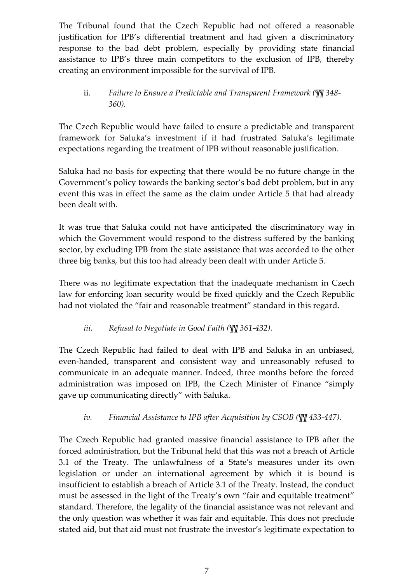The Tribunal found that the Czech Republic had not offered a reasonable justification for IPB's differential treatment and had given a discriminatory response to the bad debt problem, especially by providing state financial assistance to IPB's three main competitors to the exclusion of IPB, thereby creating an environment impossible for the survival of IPB.

#### ii. *Failure to Ensure a Predictable and Transparent Framework (¶¶ 348- 360).*

The Czech Republic would have failed to ensure a predictable and transparent framework for Saluka's investment if it had frustrated Saluka's legitimate expectations regarding the treatment of IPB without reasonable justification.

Saluka had no basis for expecting that there would be no future change in the Government's policy towards the banking sector's bad debt problem, but in any event this was in effect the same as the claim under Article 5 that had already been dealt with.

It was true that Saluka could not have anticipated the discriminatory way in which the Government would respond to the distress suffered by the banking sector, by excluding IPB from the state assistance that was accorded to the other three big banks, but this too had already been dealt with under Article 5.

There was no legitimate expectation that the inadequate mechanism in Czech law for enforcing loan security would be fixed quickly and the Czech Republic had not violated the "fair and reasonable treatment" standard in this regard.

#### *iii. Refusal to Negotiate in Good Faith (¶¶ 361-432).*

The Czech Republic had failed to deal with IPB and Saluka in an unbiased, even-handed, transparent and consistent way and unreasonably refused to communicate in an adequate manner. Indeed, three months before the forced administration was imposed on IPB, the Czech Minister of Finance "simply gave up communicating directly" with Saluka.

#### *iv. Financial Assistance to IPB after Acquisition by CSOB (¶¶ 433-447).*

The Czech Republic had granted massive financial assistance to IPB after the forced administration, but the Tribunal held that this was not a breach of Article 3.1 of the Treaty. The unlawfulness of a State's measures under its own legislation or under an international agreement by which it is bound is insufficient to establish a breach of Article 3.1 of the Treaty. Instead, the conduct must be assessed in the light of the Treaty's own "fair and equitable treatment" standard. Therefore, the legality of the financial assistance was not relevant and the only question was whether it was fair and equitable. This does not preclude stated aid, but that aid must not frustrate the investor's legitimate expectation to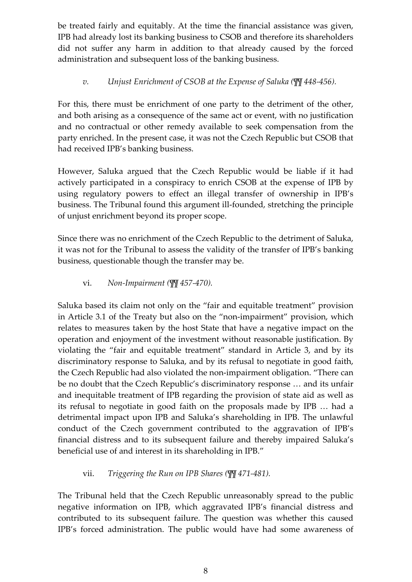be treated fairly and equitably. At the time the financial assistance was given, IPB had already lost its banking business to CSOB and therefore its shareholders did not suffer any harm in addition to that already caused by the forced administration and subsequent loss of the banking business.

#### *v. Unjust Enrichment of CSOB at the Expense of Saluka (¶¶ 448-456).*

For this, there must be enrichment of one party to the detriment of the other, and both arising as a consequence of the same act or event, with no justification and no contractual or other remedy available to seek compensation from the party enriched. In the present case, it was not the Czech Republic but CSOB that had received IPB's banking business.

However, Saluka argued that the Czech Republic would be liable if it had actively participated in a conspiracy to enrich CSOB at the expense of IPB by using regulatory powers to effect an illegal transfer of ownership in IPB's business. The Tribunal found this argument ill-founded, stretching the principle of unjust enrichment beyond its proper scope.

Since there was no enrichment of the Czech Republic to the detriment of Saluka, it was not for the Tribunal to assess the validity of the transfer of IPB's banking business, questionable though the transfer may be.

vi. *Non-Impairment (¶¶ 457-470).*

Saluka based its claim not only on the "fair and equitable treatment" provision in Article 3.1 of the Treaty but also on the "non-impairment" provision, which relates to measures taken by the host State that have a negative impact on the operation and enjoyment of the investment without reasonable justification. By violating the "fair and equitable treatment" standard in Article 3, and by its discriminatory response to Saluka, and by its refusal to negotiate in good faith, the Czech Republic had also violated the non-impairment obligation. "There can be no doubt that the Czech Republic's discriminatory response … and its unfair and inequitable treatment of IPB regarding the provision of state aid as well as its refusal to negotiate in good faith on the proposals made by IPB … had a detrimental impact upon IPB and Saluka's shareholding in IPB. The unlawful conduct of the Czech government contributed to the aggravation of IPB's financial distress and to its subsequent failure and thereby impaired Saluka's beneficial use of and interest in its shareholding in IPB."

#### vii. *Triggering the Run on IPB Shares (¶¶ 471-481).*

The Tribunal held that the Czech Republic unreasonably spread to the public negative information on IPB, which aggravated IPB's financial distress and contributed to its subsequent failure. The question was whether this caused IPB's forced administration. The public would have had some awareness of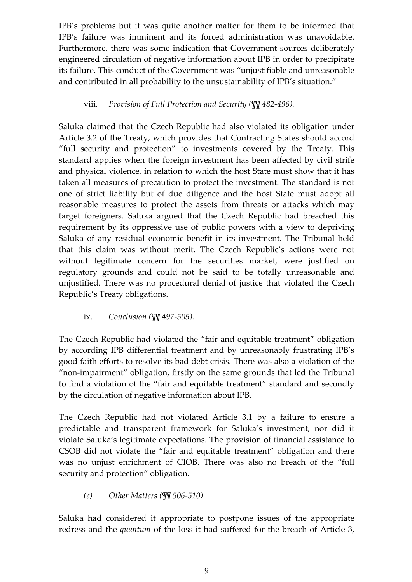IPB's problems but it was quite another matter for them to be informed that IPB's failure was imminent and its forced administration was unavoidable. Furthermore, there was some indication that Government sources deliberately engineered circulation of negative information about IPB in order to precipitate its failure. This conduct of the Government was "unjustifiable and unreasonable and contributed in all probability to the unsustainability of IPB's situation."

#### viii. *Provision of Full Protection and Security (¶¶ 482-496).*

Saluka claimed that the Czech Republic had also violated its obligation under Article 3.2 of the Treaty, which provides that Contracting States should accord "full security and protection" to investments covered by the Treaty. This standard applies when the foreign investment has been affected by civil strife and physical violence, in relation to which the host State must show that it has taken all measures of precaution to protect the investment. The standard is not one of strict liability but of due diligence and the host State must adopt all reasonable measures to protect the assets from threats or attacks which may target foreigners. Saluka argued that the Czech Republic had breached this requirement by its oppressive use of public powers with a view to depriving Saluka of any residual economic benefit in its investment. The Tribunal held that this claim was without merit. The Czech Republic's actions were not without legitimate concern for the securities market, were justified on regulatory grounds and could not be said to be totally unreasonable and unjustified. There was no procedural denial of justice that violated the Czech Republic's Treaty obligations.

#### ix. *Conclusion (¶¶ 497-505).*

The Czech Republic had violated the "fair and equitable treatment" obligation by according IPB differential treatment and by unreasonably frustrating IPB's good faith efforts to resolve its bad debt crisis. There was also a violation of the "non-impairment" obligation, firstly on the same grounds that led the Tribunal to find a violation of the "fair and equitable treatment" standard and secondly by the circulation of negative information about IPB.

The Czech Republic had not violated Article 3.1 by a failure to ensure a predictable and transparent framework for Saluka's investment, nor did it violate Saluka's legitimate expectations. The provision of financial assistance to CSOB did not violate the "fair and equitable treatment" obligation and there was no unjust enrichment of CIOB. There was also no breach of the "full security and protection" obligation.

#### *(e) Other Matters (¶¶ 506-510)*

Saluka had considered it appropriate to postpone issues of the appropriate redress and the *quantum* of the loss it had suffered for the breach of Article 3,